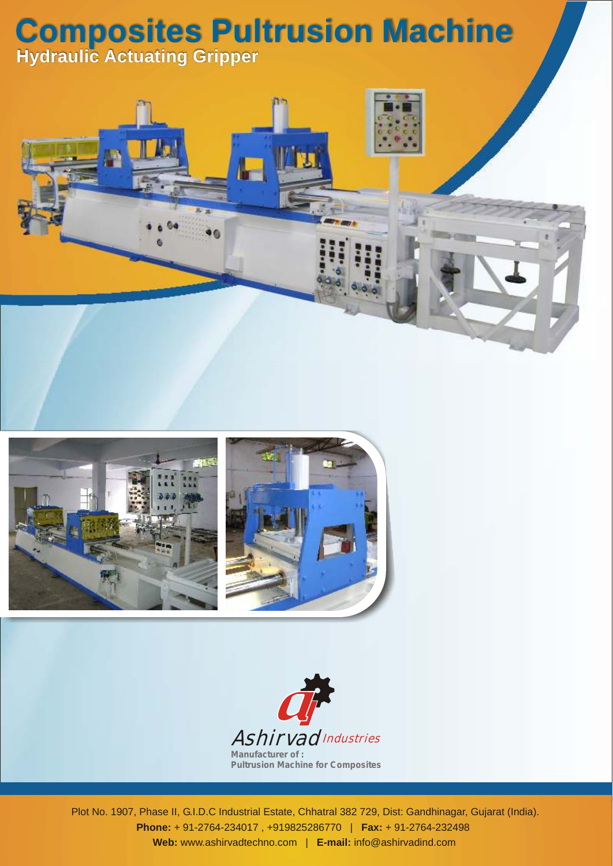## **Composites Pultrusion Machine Hydraulic Actuating Gripper**







Plot No. 1907, Phase II, G.I.D.C Industrial Estate, Chhatral 382 729, Dist: Gandhinagar, Gujarat (India). **Phone:** + 91-2764-234017 , +919825286770 | **Fax:** + 91-2764-232498 **Web:** www.ashirvadtechno.com | **E-mail:** info@ashirvadind.com